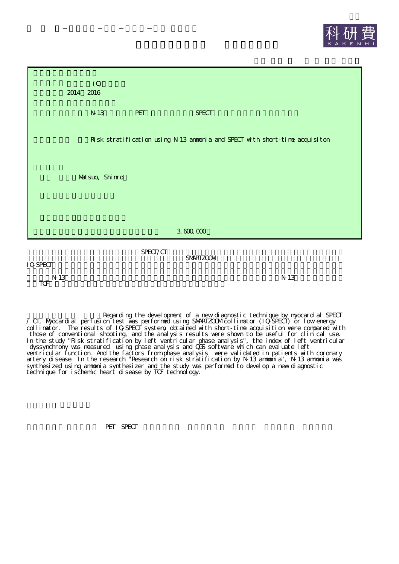



 $T$ <sup>N 13</sup>

Regarding the development of a new diagnostic technique by myocardial SPECT / CT, Myocardial perfusion test was performed using SMARTZOOM collimator (IQSPECT) or low energy collimator. The results of IQ-SPECT system, obtained with short-time acquisition were compared with those of conventional shooting, and the analysis results were shown to be useful for clinical use. In the study "Risk stratification by left ventricular phase analysis", the index of left ventricular dyssynchrony was measured using phase analysis and QGS software which can evaluate left ventricular function. And the factors from phase analysis were validated in patients with coronary artery disease. In the research "Research on risk stratification by N-13 ammonia", N-13 ammonia was synthesized using ammonia synthesizer and the study was performed to develop a new diagnostic technique for ischemic heart disease by TOF technology.

PET SPECT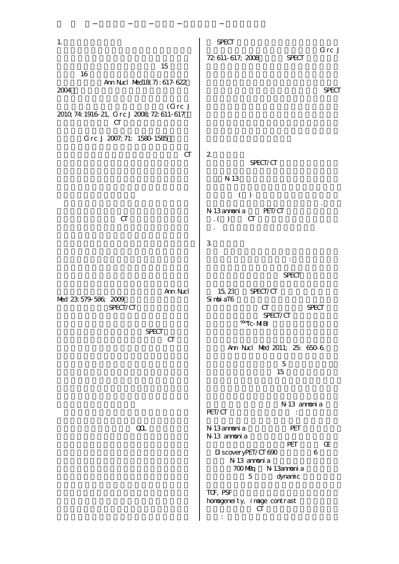| 1.                                                              | <b>SPECT</b>                                                                                                                                                                                                     |
|-----------------------------------------------------------------|------------------------------------------------------------------------------------------------------------------------------------------------------------------------------------------------------------------|
| 15                                                              | Grc J<br>72 611 617, 2008<br><b>SPECT</b>                                                                                                                                                                        |
| 16<br>Ann Nicl Med18(7): 617-622<br>2004<br>(Grc J)             | <b>SPECT</b>                                                                                                                                                                                                     |
| 2010, 74: 1916 21, Grc J 2008, 72: 611-617<br>CT                |                                                                                                                                                                                                                  |
| Grc J 2007, 71: 1580 1585                                       |                                                                                                                                                                                                                  |
| CT                                                              | $\overline{2}$<br>SPECT/CT                                                                                                                                                                                       |
|                                                                 | N 13                                                                                                                                                                                                             |
|                                                                 | ( )                                                                                                                                                                                                              |
| CT                                                              | N 13 annonia<br>PET/CT<br>CT<br>$\big)$<br>$\cdot$ (                                                                                                                                                             |
|                                                                 | 3                                                                                                                                                                                                                |
|                                                                 | $\ddot{\cdot}$                                                                                                                                                                                                   |
|                                                                 | <b>SPECT</b>                                                                                                                                                                                                     |
| Am Nxl<br>Med 23 579 586 2009<br>SPECT/CT<br><b>SPECT</b><br>CT | 15, 23<br>SPECT/CT<br>Si nbi aT6<br>CT<br><b>SPECT</b><br>SPECT/CT<br>$\overline{M}$ MBI                                                                                                                         |
|                                                                 | Ann Nucl Med 2011; 25: 650 6                                                                                                                                                                                     |
|                                                                 | $\mathbf 5$<br>15                                                                                                                                                                                                |
|                                                                 | N 13 annonia                                                                                                                                                                                                     |
| $\boldsymbol{\alpha}$                                           | PET/CT<br>$\ddot{\cdot}$<br>N 13 annoni a<br>PET<br>N 13 annonia<br>PET<br>Œ<br>DiscoveryPET/CT690<br>6<br>N 13 annoni a<br>700 MBq N 13anmonia<br>5<br>dynamic<br>TCF, PSF<br>homogeneity, image contrast<br>CT |
|                                                                 |                                                                                                                                                                                                                  |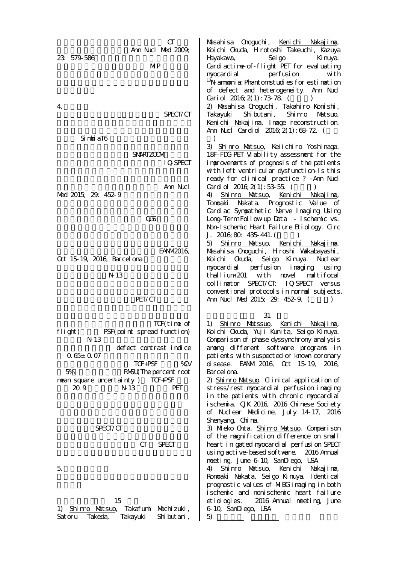$CT$ Ann Nucl Med 2009; 23: 579-586 MIP 4. SPECT/CT SimbiaT6 SMARTZOOM IQ-SPECT Ann Nrl Med 2015; 29: 452-9 QGS **EANM2016** Oct 15-19, 2016, Barcelona N-13 PET/CT TOF(time of flight) PSF(point spread function) N-13 defect contrast indice 0.65±0.07 TOF+PSF %CV 5% RMSU(The percent root mean square uncertainty ) TOF+PSF 20.9 N-13 PET SPECT/CT CT SPECT 5. 15 1) Shinro Matsuo, Takafumi Mochizuki, Satoru Takeda, Takayuki Shibutani, Masahisa Onoguchi, Kenichi Nakajima, Koichi Okuda, Hirotoshi Takeuchi, Kazuya Hayakawa, Seigo Kinuya. Cardiactime-of-flight PET for evaluating myocardial perfusion with <sup>13</sup>N anmonia: Phantom studies for estimation of defect and heterogeneity. Ann Nucl Cariol  $2016;2(1):73;78$ . () 2) Masahisa Onoguchi, Takahiro Konishi, Takayuki Shibutani, Shinro Matsuo, Kenichi Nakajima. Image reconstruction. Ann Nucl Cardiol  $2016,2(1):68.72$ .  $\lambda$ 3) Shinro Matsuo, Keiichiro Yoshinaga. 18F-FDG-PET Viability assessment for the improvements of prognosis of the patients with left ventricular dysfunction-Is this ready for clinical practice ? -Ann Nucl Cardiol  $2016;2(1):53;55.$  ( 4) Shinro Matsuo, Kenichi Nakajima, Tomoaki Nakata. Prognostic Value of Cardiac Sympathetic Nerve Imaging Using Long-Term Follow-up Data - Ischemic vs. Non-Ischemic Heart Failure Etiology. Circ J. 2016;80: 435-441. 5) Shinro Matsuo, Kenichi Nakajima, Masahisa Onoguchi, Hiroshi Wakabayashi, Koichi Okuda, Seigo Kinuya. Nuclear myocardial perfusion imaging using thallium-201 with novel multifocal collimator SPECT/CT: IQ-SPECT versus conventional protocols in normal subjects. Ann Nucl Med 2015; 29: 452-9. () 31 1) Shinro Matssuo, Kenichi Nakajima, Koichi Okuda, Yuji Kunita, Seigo Kinuya. Comparison of phase dyssynchrony analysis among different software programs in patients with suspected or known coronary disease. EANM 2016, Oct 15-19, 2016, Barcel ona. 2) Shinro Matsuo. Clinical application of stress/rest myocardial perfusion imaging in the patients with chronic myocardial ischemia. CJK 2016, 2016 Chinese Society of Nuclear Medicine, July 14-17, 2016 Shenyang, China. 3) Mieko Orta, Shinro Matsuo. Comparison of the magnification difference on small heart in gated myocardial perfusion SPECT using active-based software. 2016 Annual meeting, June 6-10, SanDiego, USA 4) Shinro Matsuo, Kenichi Nakajima, Romoaki Nakata, Seigo Kinuya. Identical prognostic values of MIBG imaging in both ischemic and nonischemic heart failure etiologies. 2016 Annual meeting, June 6-10, SanDiego, USA 5)